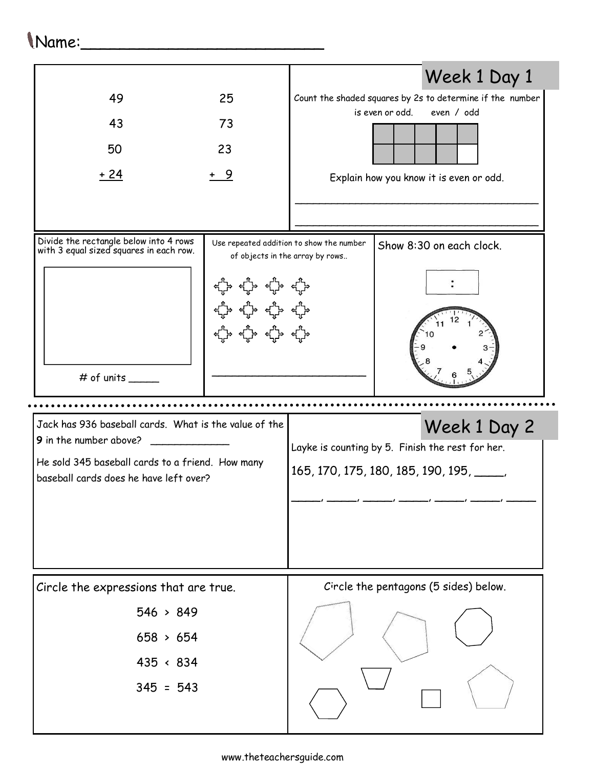## Name:\_\_\_\_\_\_\_\_\_\_\_\_\_\_\_\_\_\_\_\_\_\_\_\_\_

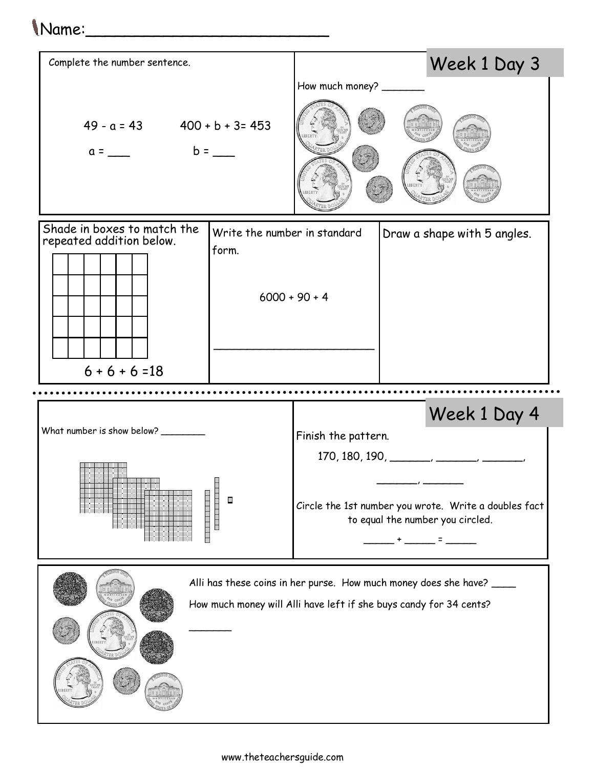